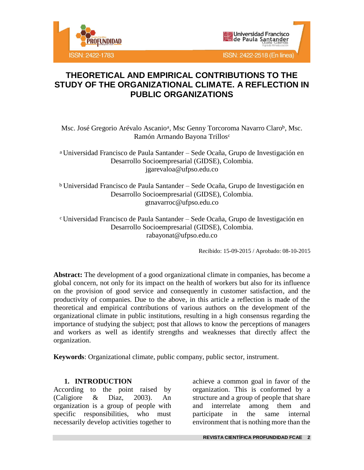



Msc. José Gregorio Arévalo Ascanio<sup>a</sup>, Msc Genny Torcoroma Navarro Claro<sup>b</sup>, Msc. Ramón Armando Bayona Trillos<sup>c</sup>

<sup>a</sup> Universidad Francisco de Paula Santander – Sede Ocaña, Grupo de Investigación en Desarrollo Socioempresarial (GIDSE), Colombia. jgarevaloa@ufpso.edu.co

<sup>b</sup> Universidad Francisco de Paula Santander – Sede Ocaña, Grupo de Investigación en Desarrollo Socioempresarial (GIDSE), Colombia. gtnavarroc@ufpso.edu.co

<sup>c</sup> Universidad Francisco de Paula Santander – Sede Ocaña, Grupo de Investigación en Desarrollo Socioempresarial (GIDSE), Colombia. rabayonat@ufpso.edu.co

Recibido: 15-09-2015 / Aprobado: 08-10-2015

**Abstract:** The development of a good organizational climate in companies, has become a global concern, not only for its impact on the health of workers but also for its influence on the provision of good service and consequently in customer satisfaction, and the productivity of companies. Due to the above, in this article a reflection is made of the theoretical and empirical contributions of various authors on the development of the organizational climate in public institutions, resulting in a high consensus regarding the importance of studying the subject; post that allows to know the perceptions of managers and workers as well as identify strengths and weaknesses that directly affect the organization.

**Keywords**: Organizational climate, public company, public sector, instrument.

### **1. INTRODUCTION**

According to the point raised by (Caligiore & Diaz, 2003). An organization is a group of people with specific responsibilities, who must necessarily develop activities together to

achieve a common goal in favor of the organization. This is conformed by a structure and a group of people that share and interrelate among them and participate in the same internal environment that is nothing more than the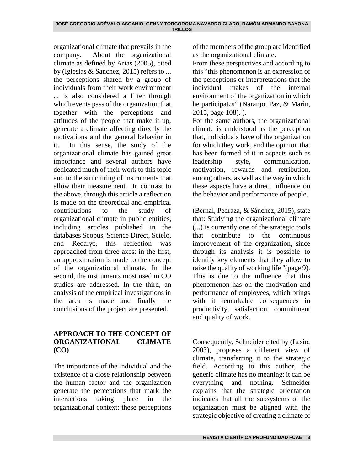organizational climate that prevails in the company. About the organizational climate as defined by Arias (2005), cited by (Iglesias & Sanchez, 2015) refers to ... the perceptions shared by a group of individuals from their work environment ... is also considered a filter through which events pass of the organization that together with the perceptions and attitudes of the people that make it up, generate a climate affecting directly the motivations and the general behavior in it. In this sense, the study of the organizational climate has gained great importance and several authors have dedicated much of their work to this topic and to the structuring of instruments that allow their measurement. In contrast to the above, through this article a reflection is made on the theoretical and empirical contributions to the study of organizational climate in public entities, including articles published in the databases Scopus, Science Direct, Scielo, and Redalyc, this reflection was approached from three axes: in the first, an approximation is made to the concept of the organizational climate. In the second, the instruments most used in CO studies are addressed. In the third, an analysis of the empirical investigations in the area is made and finally the conclusions of the project are presented.

### **APPROACH TO THE CONCEPT OF ORGANIZATIONAL CLIMATE (CO)**

The importance of the individual and the existence of a close relationship between the human factor and the organization generate the perceptions that mark the interactions taking place in the organizational context; these perceptions

of the members of the group are identified as the organizational climate.

From these perspectives and according to this "this phenomenon is an expression of the perceptions or interpretations that the individual makes of the internal environment of the organization in which he participates" (Naranjo, Paz, & Marìn, 2015, page 108). ).

For the same authors, the organizational climate is understood as the perception that, individuals have of the organization for which they work, and the opinion that has been formed of it in aspects such as leadership style, communication, motivation, rewards and retribution, among others, as well as the way in which these aspects have a direct influence on the behavior and performance of people.

(Bernal, Pedraza, & Sánchez, 2015), state that: Studying the organizational climate (...) is currently one of the strategic tools that contribute to the continuous improvement of the organization, since through its analysis it is possible to identify key elements that they allow to raise the quality of working life "(page 9). This is due to the influence that this phenomenon has on the motivation and performance of employees, which brings with it remarkable consequences in productivity, satisfaction, commitment and quality of work.

Consequently, Schneider cited by (Lasio, 2003), proposes a different view of climate, transferring it to the strategic field. According to this author, the generic climate has no meaning: it can be everything and nothing. Schneider explains that the strategic orientation indicates that all the subsystems of the organization must be aligned with the strategic objective of creating a climate of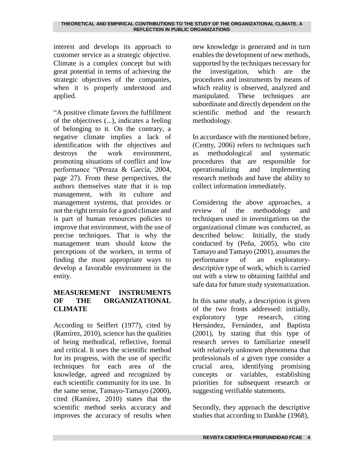interest and develops its approach to customer service as a strategic objective. Climate is a complex concept but with great potential in terms of achieving the strategic objectives of the companies, when it is properly understood and applied.

"A positive climate favors the fulfillment of the objectives (...), indicates a feeling of belonging to it. On the contrary, a negative climate implies a lack of identification with the objectives and destroys the work environment, promoting situations of conflict and low performance "(Peraza & García, 2004, page 27). From these perspectives, the authors themselves state that it is top management, with its culture and management systems, that provides or not the right terrain for a good climate and is part of human resources policies to improve that environment, with the use of precise techniques. That is why the management team should know the perceptions of the workers, in terms of finding the most appropriate ways to develop a favorable environment in the entity.

### **MEASUREMENT INSTRUMENTS OF THE ORGANIZATIONAL CLIMATE**

According to Seiffert (1977), cited by (Ramírez, 2010), science has the qualities of being methodical, reflective, formal and critical. It uses the scientific method for its progress, with the use of specific techniques for each area of the knowledge, agreed and recognized by each scientific community for its use. In the same sense, Tamayo-Tamayo (2000), cited (Ramírez, 2010) states that the scientific method seeks accuracy and improves the accuracy of results when

new knowledge is generated and in turn enables the development of new methods, supported by the techniques necessary for the investigation, which are the procedures and instruments by means of which reality is observed, analyzed and manipulated. These techniques are subordinate and directly dependent on the scientific method and the research methodology.

In accordance with the mentioned before, (Centty, 2006) refers to techniques such as methodological and systematic procedures that are responsible for operationalizing and implementing research methods and have the ability to collect information immediately.

Considering the above approaches, a review of the methodology and techniques used in investigations on the organizational climate was conducted, as described below: Initially, the study conducted by (Peña, 2005), who cite Tamayo and Tamayo (2001), assumes the performance of an exploratorydescriptive type of work, which is carried out with a view to obtaining faithful and safe data for future study systematization.

In this same study, a description is given of the two fronts addressed: initially, exploratory type research, citing Hernández, Fernández, and Baptista (2001), by stating that this type of research serves to familiarize oneself with relatively unknown phenomena that professionals of a given type consider a crucial area, identifying promising concepts or variables, establishing priorities for subsequent research or suggesting verifiable statements.

Secondly, they approach the descriptive studies that according to Dankhe (1968),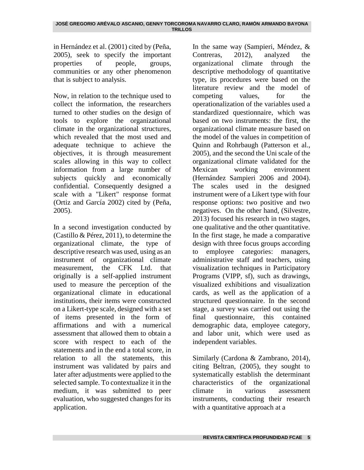in Hernández et al. (2001) cited by (Peña, 2005), seek to specify the important properties of people, groups, communities or any other phenomenon that is subject to analysis.

Now, in relation to the technique used to collect the information, the researchers turned to other studies on the design of tools to explore the organizational climate in the organizational structures, which revealed that the most used and adequate technique to achieve the objectives, it is through measurement scales allowing in this way to collect information from a large number of subjects quickly and economically confidential. Consequently designed a scale with a "Likert" response format (Ortiz and García 2002) cited by (Peña, 2005).

In a second investigation conducted by (Castillo & Pérez, 2011), to determine the organizational climate, the type of descriptive research was used, using as an instrument of organizational climate measurement, the CFK Ltd. that originally is a self-applied instrument used to measure the perception of the organizational climate in educational institutions, their items were constructed on a Likert-type scale, designed with a set of items presented in the form of affirmations and with a numerical assessment that allowed them to obtain a score with respect to each of the statements and in the end a total score, in relation to all the statements, this instrument was validated by pairs and later after adjustments were applied to the selected sample. To contextualize it in the medium, it was submitted to peer evaluation, who suggested changes for its application.

In the same way (Sampieri, Méndez, & Contreras, 2012), analyzed the organizational climate through the descriptive methodology of quantitative type, its procedures were based on the literature review and the model of competing values, for the operationalization of the variables used a standardized questionnaire, which was based on two instruments: the first, the organizational climate measure based on the model of the values in competition of Quinn and Rohrbaugh (Patterson et al., 2005), and the second the Uni scale of the organizational climate validated for the Mexican working environment (Hernández Sampieri 2006 and 2004). The scales used in the designed instrument were of a Likert type with four response options: two positive and two negatives. On the other hand, (Silvestre, 2013) focused his research in two stages, one qualitative and the other quantitative. In the first stage, he made a comparative design with three focus groups according to employee categories: managers, administrative staff and teachers, using visualization techniques in Participatory Programs (VIPP, sf), such as drawings, visualized exhibitions and visualization cards, as well as the application of a structured questionnaire. In the second stage, a survey was carried out using the final questionnaire, this contained demographic data, employee category, and labor unit, which were used as independent variables.

Similarly (Cardona & Zambrano, 2014), citing Beltran, (2005), they sought to systematically establish the determinant characteristics of the organizational climate in various assessment instruments, conducting their research with a quantitative approach at a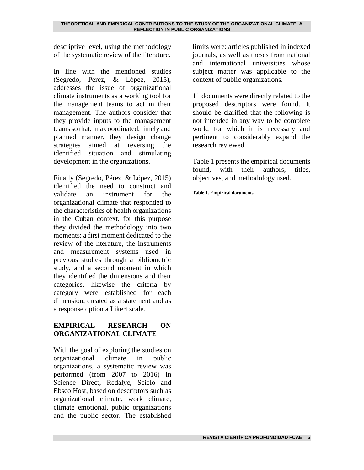descriptive level, using the methodology of the systematic review of the literature.

In line with the mentioned studies (Segredo, Pérez, & López, 2015), addresses the issue of organizational climate instruments as a working tool for the management teams to act in their management. The authors consider that they provide inputs to the management teams so that, in a coordinated, timely and planned manner, they design change strategies aimed at reversing the identified situation and stimulating development in the organizations.

Finally (Segredo, Pérez, & López, 2015) identified the need to construct and validate an instrument for the organizational climate that responded to the characteristics of health organizations in the Cuban context, for this purpose they divided the methodology into two moments: a first moment dedicated to the review of the literature, the instruments and measurement systems used in previous studies through a bibliometric study, and a second moment in which they identified the dimensions and their categories, likewise the criteria by category were established for each dimension, created as a statement and as a response option a Likert scale.

## **EMPIRICAL RESEARCH ON ORGANIZATIONAL CLIMATE**

With the goal of exploring the studies on organizational climate in public organizations, a systematic review was performed (from 2007 to 2016) in Science Direct, Redalyc, Scielo and Ebsco Host, based on descriptors such as organizational climate, work climate, climate emotional, public organizations and the public sector. The established

limits were: articles published in indexed journals, as well as theses from national and international universities whose subject matter was applicable to the context of public organizations.

11 documents were directly related to the proposed descriptors were found. It should be clarified that the following is not intended in any way to be complete work, for which it is necessary and pertinent to considerably expand the research reviewed.

Table 1 presents the empirical documents found, with their authors, titles, objectives, and methodology used.

**Table 1. Empirical documents**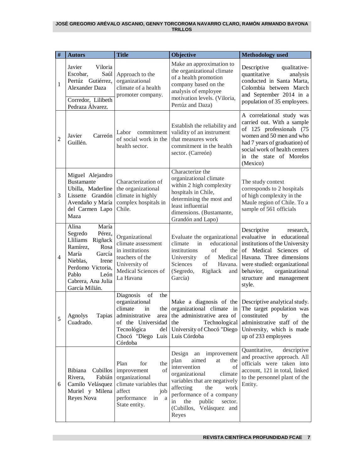#### **JOSÉ GREGORIO ARÉVALO ASCANIO, GENNY TORCOROMA NAVARRO CLARO, RAMÓN ARMANDO BAYONA TRILLOS**

| #              | <b>Autors</b>                                                                                                                                                                                     | <b>Title</b>                                                                                                                                       | <b>Objective</b>                                                                                                                                                                                                                                                       | <b>Methodology</b> used                                                                                                                                                                                                                                                                            |
|----------------|---------------------------------------------------------------------------------------------------------------------------------------------------------------------------------------------------|----------------------------------------------------------------------------------------------------------------------------------------------------|------------------------------------------------------------------------------------------------------------------------------------------------------------------------------------------------------------------------------------------------------------------------|----------------------------------------------------------------------------------------------------------------------------------------------------------------------------------------------------------------------------------------------------------------------------------------------------|
| $\mathbf{1}$   | Javier<br>Viloria<br>Saúl<br>Escobar,<br>Pertúz Gutiérrez,<br>Alexander Daza<br>Corredor, Lilibeth<br>Pedraza Álvarez.                                                                            | Approach to the<br>organizational<br>climate of a health<br>promoter company.                                                                      | Make an approximation to<br>the organizational climate<br>of a health promotion<br>company based on the<br>analysis of employee<br>motivation levels. (Viloria,<br>Pertúz and Daza)                                                                                    | Descriptive<br>qualitative-<br>quantitative<br>analysis<br>conducted in Santa Marta,<br>Colombia between March<br>and September 2014 in a<br>population of 35 employees.                                                                                                                           |
| $\overline{2}$ | Carreón<br>Javier<br>Guillén.                                                                                                                                                                     | Labor commitment<br>of social work in the<br>health sector.                                                                                        | Establish the reliability and<br>validity of an instrument<br>that measures work<br>commitment in the health<br>sector. (Carreón)                                                                                                                                      | A correlational study was<br>carried out. With a sample<br>of 125 professionals (75<br>women and 50 men and who<br>had 7 years of graduation) of<br>social work of health centers<br>in the state of Morelos<br>(Mexico)                                                                           |
| 3              | Miguel Alejandro<br><b>Bustamante</b><br>Ubilla, Maderline<br>Lissette Grandón<br>Avendaño y María<br>del Carmen Lapo<br>Maza                                                                     | Characterization of<br>the organizational<br>climate in highly<br>complex hospitals in<br>Chile.                                                   | Characterize the<br>organizational climate<br>within 2 high complexity<br>hospitals in Chile,<br>determining the most and<br>least influential<br>dimensions. (Bustamante,<br>Grandón and Lapo)                                                                        | The study context<br>corresponds to 2 hospitals<br>of high complexity in the<br>Maule region of Chile. To a<br>sample of 561 officials                                                                                                                                                             |
| $\overline{4}$ | María<br>Alina<br>Segredo<br>Pérez,<br>Lliliams Rigñack<br>Ramírez,<br>Rosa<br>María<br>García<br>Nieblas,<br>Irene<br>Perdomo Victoria,<br>Pablo<br>León<br>Cabrera, Ana Julia<br>García Milián. | Organizational<br>climate assessment<br>in institutions<br>teachers of the<br>University of<br>Medical Sciences of<br>La Havana                    | climate<br>in<br>institutions<br>of<br>the<br>University<br>of<br>Sciences<br>of<br>Havana.<br>(Segredo,<br>Rigñack<br>and<br>García)                                                                                                                                  | Descriptive<br>research,<br>Evaluate the organizational evaluative in educational<br>educational institutions of the University<br>of Medical Sciences of<br>Medical Havana. Three dimensions<br>were studied: organizational<br>behavior,<br>organizational<br>structure and management<br>style. |
| 5              | Agnolys<br>Cuadrado.                                                                                                                                                                              | Diagnosis<br>of<br>the<br>organizational<br>climate<br>in<br>of the Universidad<br>Tecnológica<br>del<br>Chocó "Diego Luis Luis Córdoba<br>Córdoba | the<br>University of Chocó "Diego                                                                                                                                                                                                                                      | Make a diagnosis of the Descriptive analytical study.<br>the organizational climate in The target population was<br>Tapias administrative area the administrative area of constituted by the<br>Technological administrative staff of the<br>University, which is made<br>up of 233 employees      |
| 6              | Cubillos<br>Bibiana<br>Rivera,<br>Fabián<br>Camilo Velásquez<br>Muriel y Milena<br>Reyes Nova                                                                                                     | for<br>the<br>Plan<br>of<br>improvement<br>organizational<br>climate variables that<br>affect<br>job<br>performance<br>in<br>a a<br>State entity.  | Design an improvement<br>aimed<br>plan<br>the<br>at<br>intervention<br>of<br>organizational<br>climate<br>variables that are negatively<br>affecting<br>the<br>work<br>performance of a company<br>the<br>public<br>sector.<br>in<br>(Cubillos, Velásquez and<br>Reyes | Quantitative,<br>descriptive<br>and proactive approach. All<br>officials were taken into<br>account, 121 in total, linked<br>to the personnel plant of the<br>Entity.                                                                                                                              |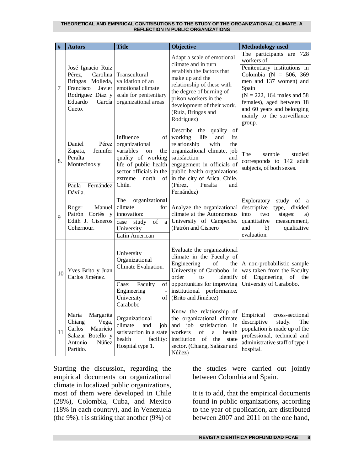| #  | <b>Autors</b>                                                                                                               | <b>Title</b>                                                                                                                                                        | <b>Objective</b>                                                                                                                                                                                                                                                                            | <b>Methodology</b> used                                                                                                                                                                                                                                                |
|----|-----------------------------------------------------------------------------------------------------------------------------|---------------------------------------------------------------------------------------------------------------------------------------------------------------------|---------------------------------------------------------------------------------------------------------------------------------------------------------------------------------------------------------------------------------------------------------------------------------------------|------------------------------------------------------------------------------------------------------------------------------------------------------------------------------------------------------------------------------------------------------------------------|
| 7  | José Ignacio Ruiz<br>Pérez,<br>Carolina<br>Bringas Molleda,<br>Francisco<br>Javier<br>Rodríguez Díaz y<br>Eduardo<br>Cueto. | Transcultural<br>validation of an<br>emotional climate<br>scale for penitentiary<br>García organizational areas                                                     | Adapt a scale of emotional<br>climate and in turn<br>establish the factors that<br>make up and the<br>relationship of these with<br>the degree of burning of<br>prison workers in the<br>development of their work.<br>(Ruíz, Bringas and<br>Rodríguez)                                     | The participants are 728<br>workers of<br>Penitentiary institutions in<br>Colombia (N = 506, 369<br>men and 137 women) and<br>Spain<br>$(N = 222, 164$ males and 58<br>females), aged between 18<br>and 60 years and belonging<br>mainly to the surveillance<br>group. |
| 8. | Daniel<br>Pérez<br>Jennifer<br>Zapata,<br>Peralta<br>Montecinos y<br>Paula<br>Fernández<br>Dávila.                          | Influence<br>organizational<br>variables<br>on<br>the<br>quality of working<br>life of public health<br>sector officials in the<br>north<br>extreme<br>οf<br>Chile. | Describe the quality<br>of<br>of working<br>life<br>and<br>its<br>relationship<br>with<br>the<br>organizational climate, job<br>satisfaction<br>and<br>engagement in officials of<br>public health organizations<br>in the city of Arica, Chile.<br>(Pérez,<br>Peralta<br>and<br>Fernández) | The<br>sample<br>studied<br>corresponds to 142 adult<br>subjects, of both sexes.                                                                                                                                                                                       |
| 9  | Manuel<br>Roger<br>Patrón Cortés y<br>Edith J. Cisneros<br>Cohernour.                                                       | organizational<br>The<br>climate<br>for<br>innovation:<br>of<br>study<br>case<br>a l<br>University<br>Latin American                                                | Analyze the organizational<br>climate at the Autonomous<br>University of Campeche.<br>(Patrón and Cisnero                                                                                                                                                                                   | Exploratory<br>study of a<br>descriptive<br>type, divided<br>into<br>stages:<br>two<br>a)<br>quantitative<br>measurement,<br>and<br>b)<br>qualitative<br>evaluation.                                                                                                   |
| 10 | Yves Brito y Juan<br>Carlos Jiménez.                                                                                        | University<br>Organizational<br>Climate Evaluation.<br>Case:<br>Faculty<br>Engineering<br>$\Box$<br>University<br>Carabobo                                          | Evaluate the organizational<br>climate in the Faculty of<br>Engineering<br>of<br>the<br>University of Carabobo, in<br>order<br>to<br>identify<br>of opportunities for improving<br>institutional performance.<br>of (Brito and Jiménez)                                                     | A non-probabilistic sample<br>was taken from the Faculty<br>of<br>Engineering<br>of the<br>University of Carabobo.                                                                                                                                                     |
| 11 | María<br>Margarita<br>Chiang<br>Vega,<br>Carlos<br>Mauricio<br>Salazar Botello y<br>Antonio<br>Núñez<br>Partido.            | Organizational<br>climate<br>and<br>job<br>satisfaction in a state<br>health<br>facility:<br>Hospital type 1.                                                       | Know the relationship of<br>the organizational climate<br>and job<br>satisfaction in<br>workers<br>health<br>of<br>a<br>institution<br>of<br>the<br>state<br>sector. (Chiang, Salázar and<br>Núñez)                                                                                         | Empirical<br>cross-sectional<br>descriptive<br>study.<br>The<br>population is made up of the<br>professional, technical and<br>administrative staff of type 1<br>hospital.                                                                                             |

Starting the discussion, regarding the empirical documents on organizational climate in localized public organizations, most of them were developed in Chile (28%), Colombia, Cuba, and Mexico (18% in each country), and in Venezuela (the 9%). t is striking that another (9%) of the studies were carried out jointly between Colombia and Spain.

It is to add, that the empirical documents found in public organizations, according to the year of publication, are distributed between 2007 and 2011 on the one hand,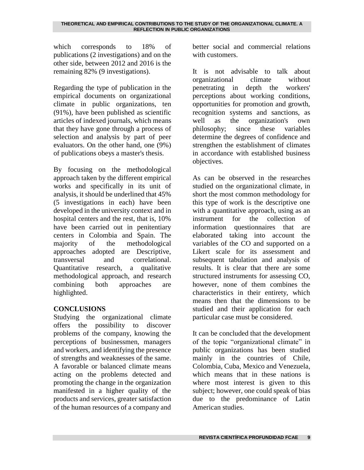which corresponds to 18% of publications (2 investigations) and on the other side, between 2012 and 2016 is the remaining 82% (9 investigations).

Regarding the type of publication in the empirical documents on organizational climate in public organizations, ten (91%), have been published as scientific articles of indexed journals, which means that they have gone through a process of selection and analysis by part of peer evaluators. On the other hand, one (9%) of publications obeys a master's thesis.

By focusing on the methodological approach taken by the different empirical works and specifically in its unit of analysis, it should be underlined that 45% (5 investigations in each) have been developed in the university context and in hospital centers and the rest, that is, 10% have been carried out in penitentiary centers in Colombia and Spain. The majority of the methodological approaches adopted are Descriptive, transversal and correlational. Quantitative research, a qualitative methodological approach, and research combining both approaches are highlighted.

### **CONCLUSIONS**

Studying the organizational climate offers the possibility to discover problems of the company, knowing the perceptions of businessmen, managers and workers, and identifying the presence of strengths and weaknesses of the same. A favorable or balanced climate means acting on the problems detected and promoting the change in the organization manifested in a higher quality of the products and services, greater satisfaction of the human resources of a company and

better social and commercial relations with customers.

It is not advisable to talk about organizational climate without penetrating in depth the workers' perceptions about working conditions, opportunities for promotion and growth, recognition systems and sanctions, as well as the organization's own philosophy; since these variables determine the degrees of confidence and strengthen the establishment of climates in accordance with established business objectives.

As can be observed in the researches studied on the organizational climate, in short the most common methodology for this type of work is the descriptive one with a quantitative approach, using as an instrument for the collection of information questionnaires that are elaborated taking into account the variables of the CO and supported on a Likert scale for its assessment and subsequent tabulation and analysis of results. It is clear that there are some structured instruments for assessing CO, however, none of them combines the characteristics in their entirety, which means then that the dimensions to be studied and their application for each particular case must be considered.

It can be concluded that the development of the topic "organizational climate" in public organizations has been studied mainly in the countries of Chile, Colombia, Cuba, Mexico and Venezuela, which means that in these nations is where most interest is given to this subject; however, one could speak of bias due to the predominance of Latin American studies.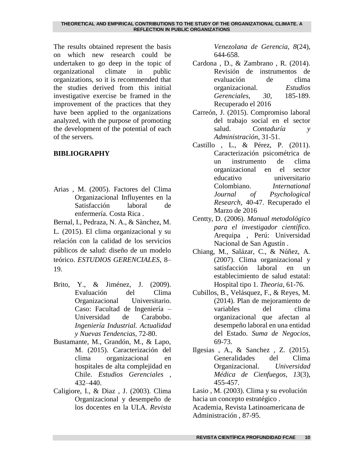The results obtained represent the basis on which new research could be undertaken to go deep in the topic of organizational climate in public organizations, so it is recommended that the studies derived from this initial investigative exercise be framed in the improvement of the practices that they have been applied to the organizations analyzed, with the purpose of promoting the development of the potential of each of the servers.

### **BIBLIOGRAPHY**

Arias , M. (2005). Factores del Clima Organizacional Influyentes en la Satisfacción laboral de enfermería. Costa Rica .

Bernal, I., Pedraza, N. A., & Sànchez, M. L. (2015). El clima organizacional y su relación con la calidad de los servicios públicos de salud: diseño de un modelo teórico. *ESTUDIOS GERENCIALES*, 8– 19.

- Brito, Y., & Jiménez, J. (2009). Evaluación del Clima Organizacional Universitario. Caso: Facultad de Ingeniería – Universidad de Carabobo. *Ingeniería Industrial. Actualidad y Nuevas Tendencias*, 72-80.
- Bustamante, M., Grandón, M., & Lapo, M. (2015). Caracterización del clima organizacional en hospitales de alta complejidad en Chile. *Estudios Gerenciales* , 432–440.
- Caligiore, I., & Diaz , J. (2003). Clima Organizacional y desempeño de los docentes en la ULA. *Revista*

*Venezolana de Gerencia, 8*(24), 644-658.

- Cardona , D., & Zambrano , R. (2014). Revisión de instrumentos de evaluación de clima organizacional. *Estudios Gerenciales, 30*, 185-189. Recuperado el 2016
- Carreón, J. (2015). Compromiso laboral del trabajo social en el sector salud. *Contaduría y Administración*, 31-51.
- Castillo , L., & Pérez, P. (2011). Caracterización psicométrica de un instrumento de clima organizacional en el sector educativo universitario Colombiano. *International Journal of Psychological Research*, 40-47. Recuperado el Marzo de 2016
- Centty, D. (2006). *Manual metodológico para el investigador científico.* Arequipa , Perú: Universidad Nacional de San Agustín .
- Chiang, M., Salázar, C., & Núñez, A. (2007). Clima organizacional y satisfacción laboral en un establecimiento de salud estatal: Hospital tipo 1. *Theoria*, 61-76.
- Cubillos, B., Velásquez, F., & Reyes, M. (2014). Plan de mejoramiento de variables del clima organizacional que afectan al desempeño laboral en una entidad del Estado. *Suma de Negocios*, 69-73.
- Ilgesias , A., & Sanchez , Z. (2015). Generalidades del Clima Organizacional. *Universidad Médica de Cienfuegos, 13*(3), 455-457.

Lasio , M. (2003). Clima y su evolución hacia un concepto estratégico .

Academia, Revista Latinoamericana de Administración , 87-95.